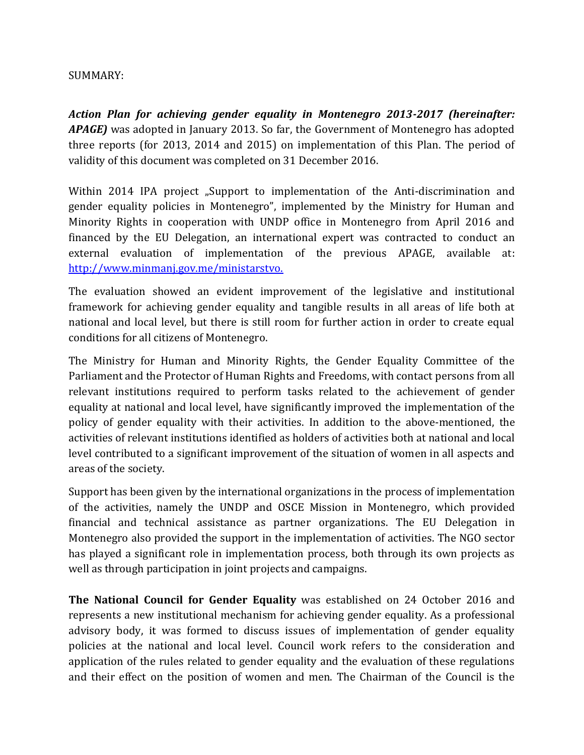## SUMMARY:

*Action Plan for achieving gender equality in Montenegro 2013-2017 (hereinafter: APAGE)* was adopted in January 2013. So far, the Government of Montenegro has adopted three reports (for 2013, 2014 and 2015) on implementation of this Plan. The period of validity of this document was completed on 31 December 2016.

Within 2014 IPA project "Support to implementation of the Anti-discrimination and gender equality policies in Montenegro", implemented by the Ministry for Human and Minority Rights in cooperation with UNDP office in Montenegro from April 2016 and financed by the EU Delegation, an international expert was contracted to conduct an external evaluation of implementation of the previous APAGE, available at: [http://www.minmanj.gov.me/ministarstvo.](http://www.minmanj.gov.me/ministarstvo)

The evaluation showed an evident improvement of the legislative and institutional framework for achieving gender equality and tangible results in all areas of life both at national and local level, but there is still room for further action in order to create equal conditions for all citizens of Montenegro.

The Ministry for Human and Minority Rights, the Gender Equality Committee of the Parliament and the Protector of Human Rights and Freedoms, with contact persons from all relevant institutions required to perform tasks related to the achievement of gender equality at national and local level, have significantly improved the implementation of the policy of gender equality with their activities. In addition to the above-mentioned, the activities of relevant institutions identified as holders of activities both at national and local level contributed to a significant improvement of the situation of women in all aspects and areas of the society.

Support has been given by the international organizations in the process of implementation of the activities, namely the UNDP and OSCE Mission in Montenegro, which provided financial and technical assistance as partner organizations. The EU Delegation in Montenegro also provided the support in the implementation of activities. The NGO sector has played a significant role in implementation process, both through its own projects as well as through participation in joint projects and campaigns.

**The National Council for Gender Equality** was established on 24 October 2016 and represents a new institutional mechanism for achieving gender equality. As a professional advisory body, it was formed to discuss issues of implementation of gender equality policies at the national and local level. Council work refers to the consideration and application of the rules related to gender equality and the evaluation of these regulations and their effect on the position of women and men. The Chairman of the Council is the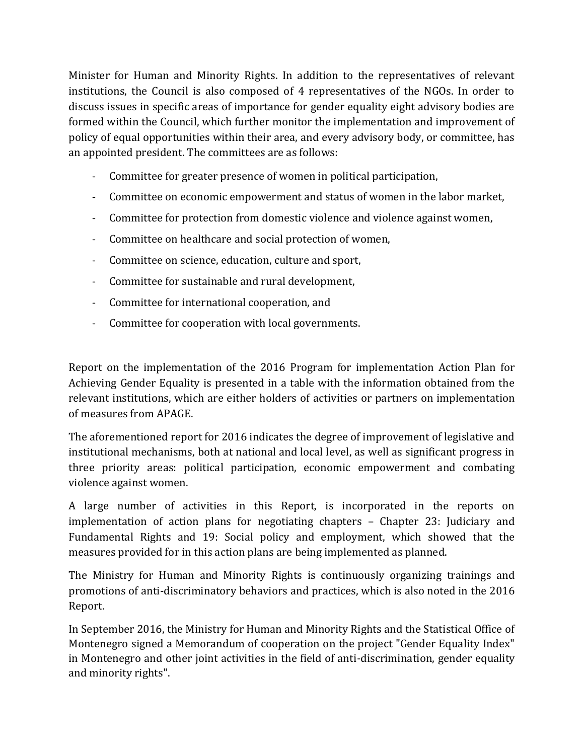Minister for Human and Minority Rights. In addition to the representatives of relevant institutions, the Council is also composed of 4 representatives of the NGOs. In order to discuss issues in specific areas of importance for gender equality eight advisory bodies are formed within the Council, which further monitor the implementation and improvement of policy of equal opportunities within their area, and every advisory body, or committee, has an appointed president. The committees are as follows:

- Committee for greater presence of women in political participation,
- Committee on economic empowerment and status of women in the labor market,
- Committee for protection from domestic violence and violence against women,
- Committee on healthcare and social protection of women,
- Committee on science, education, culture and sport,
- Committee for sustainable and rural development,
- Committee for international cooperation, and
- Committee for cooperation with local governments.

Report on the implementation of the 2016 Program for implementation Action Plan for Achieving Gender Equality is presented in a table with the information obtained from the relevant institutions, which are either holders of activities or partners on implementation of measures from APAGE.

The aforementioned report for 2016 indicates the degree of improvement of legislative and institutional mechanisms, both at national and local level, as well as significant progress in three priority areas: political participation, economic empowerment and combating violence against women.

A large number of activities in this Report, is incorporated in the reports on implementation of action plans for negotiating chapters – Chapter 23: Judiciary and Fundamental Rights and 19: Social policy and employment, which showed that the measures provided for in this action plans are being implemented as planned.

The Ministry for Human and Minority Rights is continuously organizing trainings and promotions of anti-discriminatory behaviors and practices, which is also noted in the 2016 Report.

In September 2016, the Ministry for Human and Minority Rights and the Statistical Office of Montenegro signed a Memorandum of cooperation on the project "Gender Equality Index" in Montenegro and other joint activities in the field of anti-discrimination, gender equality and minority rights".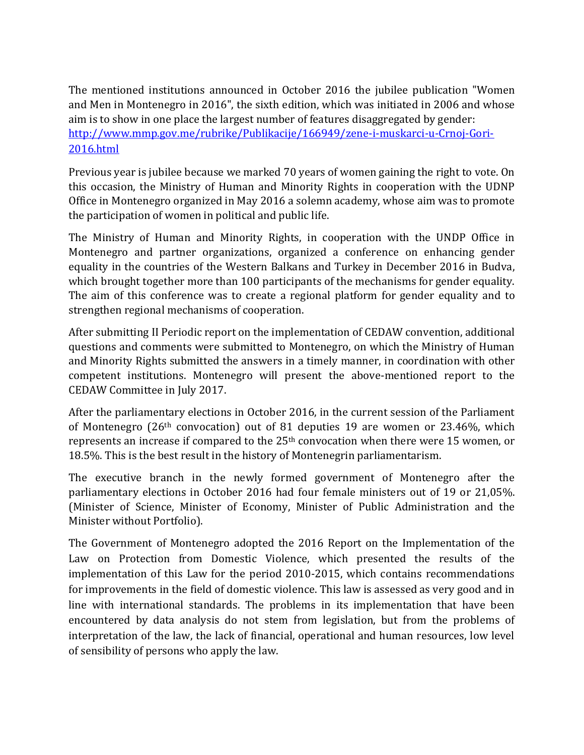The mentioned institutions announced in October 2016 the jubilee publication "Women and Men in Montenegro in 2016", the sixth edition, which was initiated in 2006 and whose aim is to show in one place the largest number of features disaggregated by gender: [http://www.mmp.gov.me/rubrike/Publikacije/166949/zene-i-muskarci-u-Crnoj-Gori-](http://www.mmp.gov.me/rubrike/Publikacije/166949/zene-i-muskarci-u-Crnoj-Gori-2016.html)[2016.html](http://www.mmp.gov.me/rubrike/Publikacije/166949/zene-i-muskarci-u-Crnoj-Gori-2016.html)

Previous year is jubilee because we marked 70 years of women gaining the right to vote. On this occasion, the Ministry of Human and Minority Rights in cooperation with the UDNP Office in Montenegro organized in May 2016 a solemn academy, whose aim was to promote the participation of women in political and public life.

The Ministry of Human and Minority Rights, in cooperation with the UNDP Office in Montenegro and partner organizations, organized a conference on enhancing gender equality in the countries of the Western Balkans and Turkey in December 2016 in Budva, which brought together more than 100 participants of the mechanisms for gender equality. The aim of this conference was to create a regional platform for gender equality and to strengthen regional mechanisms of cooperation.

After submitting II Periodic report on the implementation of CEDAW convention, additional questions and comments were submitted to Montenegro, on which the Ministry of Human and Minority Rights submitted the answers in a timely manner, in coordination with other competent institutions. Montenegro will present the above-mentioned report to the CEDAW Committee in July 2017.

After the parliamentary elections in October 2016, in the current session of the Parliament of Montenegro (26th convocation) out of 81 deputies 19 are women or 23.46%, which represents an increase if compared to the 25th convocation when there were 15 women, or 18.5%. This is the best result in the history of Montenegrin parliamentarism.

The executive branch in the newly formed government of Montenegro after the parliamentary elections in October 2016 had four female ministers out of 19 or 21,05%. (Minister of Science, Minister of Economy, Minister of Public Administration and the Minister without Portfolio).

The Government of Montenegro adopted the 2016 Report on the Implementation of the Law on Protection from Domestic Violence, which presented the results of the implementation of this Law for the period 2010-2015, which contains recommendations for improvements in the field of domestic violence. This law is assessed as very good and in line with international standards. The problems in its implementation that have been encountered by data analysis do not stem from legislation, but from the problems of interpretation of the law, the lack of financial, operational and human resources, low level of sensibility of persons who apply the law.